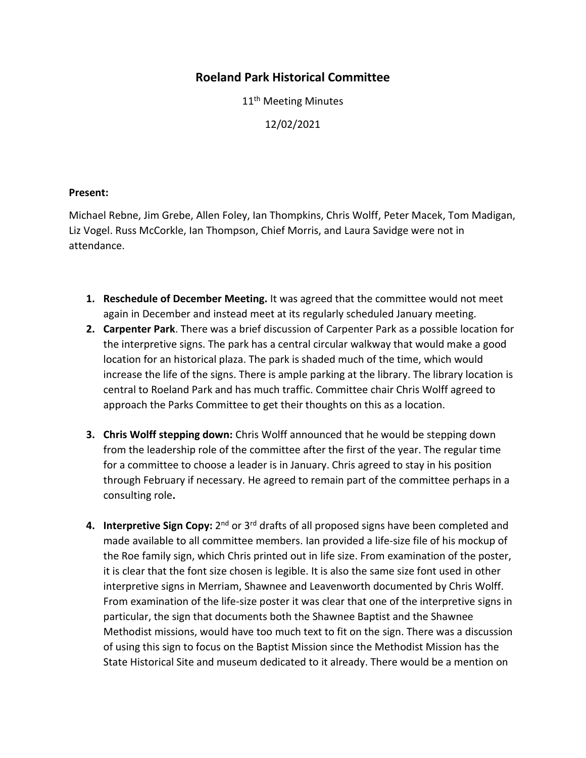## **Roeland Park Historical Committee**

11<sup>th</sup> Meeting Minutes

12/02/2021

## **Present:**

Michael Rebne, Jim Grebe, Allen Foley, Ian Thompkins, Chris Wolff, Peter Macek, Tom Madigan, Liz Vogel. Russ McCorkle, Ian Thompson, Chief Morris, and Laura Savidge were not in attendance.

- **1. Reschedule of December Meeting.** It was agreed that the committee would not meet again in December and instead meet at its regularly scheduled January meeting.
- **2. Carpenter Park**. There was a brief discussion of Carpenter Park as a possible location for the interpretive signs. The park has a central circular walkway that would make a good location for an historical plaza. The park is shaded much of the time, which would increase the life of the signs. There is ample parking at the library. The library location is central to Roeland Park and has much traffic. Committee chair Chris Wolff agreed to approach the Parks Committee to get their thoughts on this as a location.
- **3. Chris Wolff stepping down:** Chris Wolff announced that he would be stepping down from the leadership role of the committee after the first of the year. The regular time for a committee to choose a leader is in January. Chris agreed to stay in his position through February if necessary. He agreed to remain part of the committee perhaps in a consulting role**.**
- 4. Interpretive Sign Copy: 2<sup>nd</sup> or 3<sup>rd</sup> drafts of all proposed signs have been completed and made available to all committee members. Ian provided a life-size file of his mockup of the Roe family sign, which Chris printed out in life size. From examination of the poster, it is clear that the font size chosen is legible. It is also the same size font used in other interpretive signs in Merriam, Shawnee and Leavenworth documented by Chris Wolff. From examination of the life-size poster it was clear that one of the interpretive signs in particular, the sign that documents both the Shawnee Baptist and the Shawnee Methodist missions, would have too much text to fit on the sign. There was a discussion of using this sign to focus on the Baptist Mission since the Methodist Mission has the State Historical Site and museum dedicated to it already. There would be a mention on